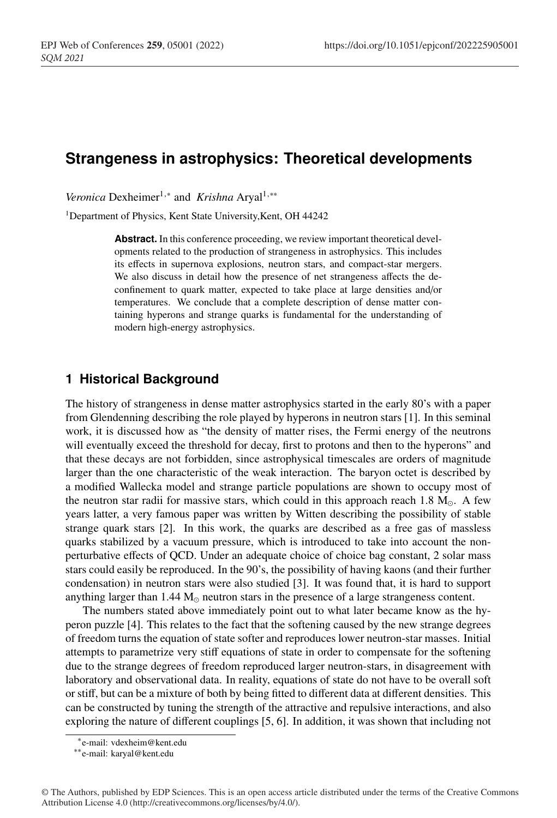# **Strangeness in astrophysics: Theoretical developments**

*Veronica* Dexheimer<sup>1,∗</sup> and *Krishna* Aryal<sup>1,</sup><sup>∗</sup>\*

<sup>1</sup>Department of Physics, Kent State University, Kent, OH 44242

Abstract. In this conference proceeding, we review important theoretical developments related to the production of strangeness in astrophysics. This includes its effects in supernova explosions, neutron stars, and compact-star mergers. We also discuss in detail how the presence of net strangeness affects the deconfinement to quark matter, expected to take place at large densities and/or temperatures. We conclude that a complete description of dense matter containing hyperons and strange quarks is fundamental for the understanding of modern high-energy astrophysics.

# **1 Historical Background**

The history of strangeness in dense matter astrophysics started in the early 80's with a paper from Glendenning describing the role played by hyperons in neutron stars [1]. In this seminal work, it is discussed how as "the density of matter rises, the Fermi energy of the neutrons will eventually exceed the threshold for decay, first to protons and then to the hyperons" and that these decays are not forbidden, since astrophysical timescales are orders of magnitude larger than the one characteristic of the weak interaction. The baryon octet is described by a modified Wallecka model and strange particle populations are shown to occupy most of the neutron star radii for massive stars, which could in this approach reach 1.8  $M_{\odot}$ . A few years latter, a very famous paper was written by Witten describing the possibility of stable strange quark stars [2]. In this work, the quarks are described as a free gas of massless quarks stabilized by a vacuum pressure, which is introduced to take into account the nonperturbative effects of QCD. Under an adequate choice of choice bag constant, 2 solar mass stars could easily be reproduced. In the 90's, the possibility of having kaons (and their further condensation) in neutron stars were also studied [3]. It was found that, it is hard to support anything larger than  $1.44 M_{\odot}$  neutron stars in the presence of a large strangeness content.

The numbers stated above immediately point out to what later became know as the hyperon puzzle [4]. This relates to the fact that the softening caused by the new strange degrees of freedom turns the equation of state softer and reproduces lower neutron-star masses. Initial attempts to parametrize very stiff equations of state in order to compensate for the softening due to the strange degrees of freedom reproduced larger neutron-stars, in disagreement with laboratory and observational data. In reality, equations of state do not have to be overall soft or stiff, but can be a mixture of both by being fitted to different data at different densities. This can be constructed by tuning the strength of the attractive and repulsive interactions, and also exploring the nature of different couplings [5, 6]. In addition, it was shown that including not

<sup>∗</sup>e-mail: vdexheim@kent.edu

<sup>∗∗</sup>e-mail: karyal@kent.edu

<sup>©</sup> The Authors, published by EDP Sciences. This is an open access article distributed under the terms of the Creative Commons Attribution License 4.0 (http://creativecommons.org/licenses/by/4.0/).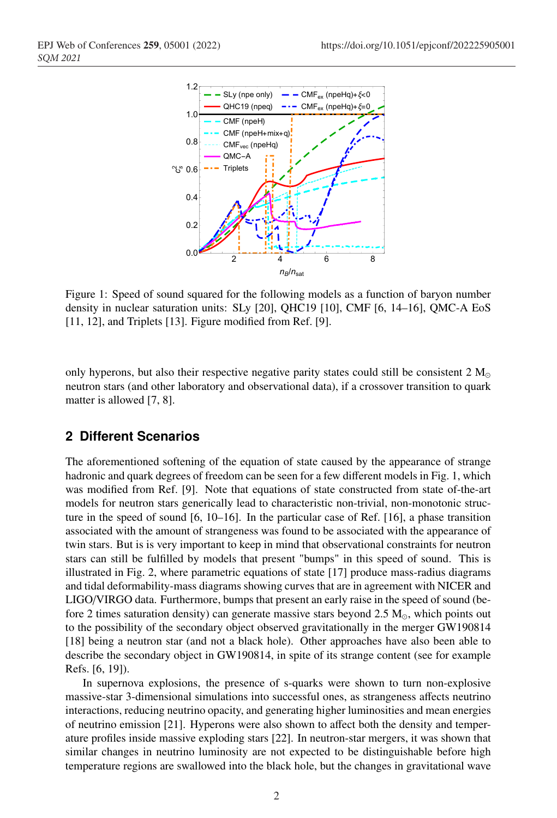

Figure 1: Speed of sound squared for the following models as a function of baryon number density in nuclear saturation units: SLy [20], QHC19 [10], CMF [6, 14–16], QMC-A EoS [11, 12], and Triplets [13]. Figure modified from Ref. [9].

only hyperons, but also their respective negative parity states could still be consistent  $2 M_{\odot}$ neutron stars (and other laboratory and observational data), if a crossover transition to quark matter is allowed [7, 8].

# **2 Different Scenarios**

The aforementioned softening of the equation of state caused by the appearance of strange hadronic and quark degrees of freedom can be seen for a few different models in Fig. 1, which was modified from Ref. [9]. Note that equations of state constructed from state of-the-art models for neutron stars generically lead to characteristic non-trivial, non-monotonic structure in the speed of sound [6, 10–16]. In the particular case of Ref. [16], a phase transition associated with the amount of strangeness was found to be associated with the appearance of twin stars. But is is very important to keep in mind that observational constraints for neutron stars can still be fulfilled by models that present "bumps" in this speed of sound. This is illustrated in Fig. 2, where parametric equations of state [17] produce mass-radius diagrams and tidal deformability-mass diagrams showing curves that are in agreement with NICER and LIGO/VIRGO data. Furthermore, bumps that present an early raise in the speed of sound (before 2 times saturation density) can generate massive stars beyond 2.5  $M_{\odot}$ , which points out to the possibility of the secondary object observed gravitationally in the merger GW190814 [18] being a neutron star (and not a black hole). Other approaches have also been able to describe the secondary object in GW190814, in spite of its strange content (see for example Refs. [6, 19]).

In supernova explosions, the presence of s-quarks were shown to turn non-explosive massive-star 3-dimensional simulations into successful ones, as strangeness affects neutrino interactions, reducing neutrino opacity, and generating higher luminosities and mean energies of neutrino emission [21]. Hyperons were also shown to affect both the density and temperature profiles inside massive exploding stars [22]. In neutron-star mergers, it was shown that similar changes in neutrino luminosity are not expected to be distinguishable before high temperature regions are swallowed into the black hole, but the changes in gravitational wave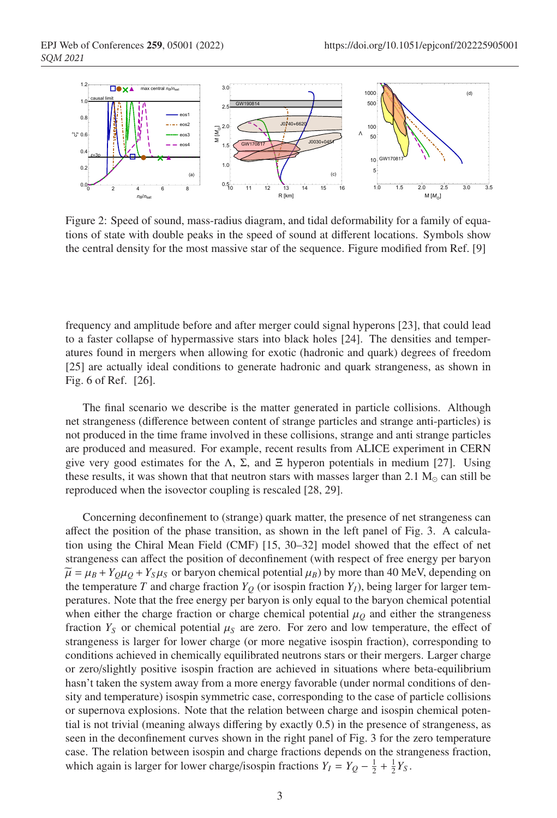

Figure 2: Speed of sound, mass-radius diagram, and tidal deformability for a family of equations of state with double peaks in the speed of sound at different locations. Symbols show the central density for the most massive star of the sequence. Figure modified from Ref. [9]

frequency and amplitude before and after merger could signal hyperons [23], that could lead to a faster collapse of hypermassive stars into black holes [24]. The densities and temperatures found in mergers when allowing for exotic (hadronic and quark) degrees of freedom [25] are actually ideal conditions to generate hadronic and quark strangeness, as shown in Fig. 6 of Ref. [26].

The final scenario we describe is the matter generated in particle collisions. Although net strangeness (difference between content of strange particles and strange anti-particles) is not produced in the time frame involved in these collisions, strange and anti strange particles are produced and measured. For example, recent results from ALICE experiment in CERN give very good estimates for the Λ, Σ, and  $\Xi$  hyperon potentials in medium [27]. Using these results, it was shown that that neutron stars with masses larger than 2.1  $M_{\odot}$  can still be reproduced when the isovector coupling is rescaled [28, 29].

Concerning deconfinement to (strange) quark matter, the presence of net strangeness can affect the position of the phase transition, as shown in the left panel of Fig. 3. A calculation using the Chiral Mean Field (CMF) [15, 30–32] model showed that the effect of net strangeness can affect the position of deconfinement (with respect of free energy per baryon  $\widetilde{\mu} = \mu_B + Y_Q \mu_Q + Y_S \mu_S$  or baryon chemical potential  $\mu_B$ ) by more than 40 MeV, depending on the temperature *T* and charge fraction  $Y_Q$  (or isospin fraction  $Y_I$ ), being larger for larger temperatures. Note that the free energy per baryon is only equal to the baryon chemical potential when either the charge fraction or charge chemical potential  $\mu<sub>O</sub>$  and either the strangeness fraction  $Y_S$  or chemical potential  $\mu_S$  are zero. For zero and low temperature, the effect of strangeness is larger for lower charge (or more negative isospin fraction), corresponding to conditions achieved in chemically equilibrated neutrons stars or their mergers. Larger charge or zero/slightly positive isospin fraction are achieved in situations where beta-equilibrium hasn't taken the system away from a more energy favorable (under normal conditions of density and temperature) isospin symmetric case, corresponding to the case of particle collisions or supernova explosions. Note that the relation between charge and isospin chemical potential is not trivial (meaning always differing by exactly 0.5) in the presence of strangeness, as seen in the deconfinement curves shown in the right panel of Fig. 3 for the zero temperature case. The relation between isospin and charge fractions depends on the strangeness fraction, which again is larger for lower charge/isospin fractions  $Y_I = Y_Q - \frac{1}{2} + \frac{1}{2}Y_S$ .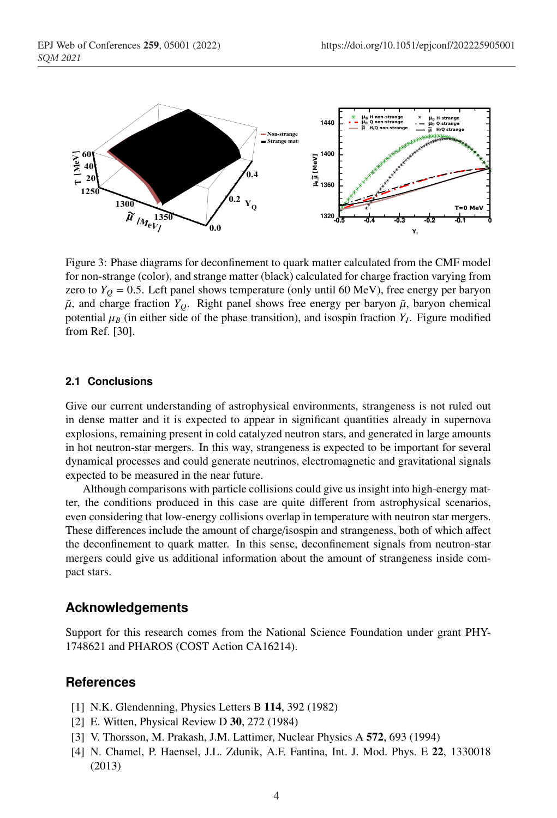

Figure 3: Phase diagrams for deconfinement to quark matter calculated from the CMF model for non-strange (color), and strange matter (black) calculated for charge fraction varying from zero to  $Y_Q = 0.5$ . Left panel shows temperature (only until 60 MeV), free energy per baryon  $\tilde{\mu}$ , and charge fraction  $Y_Q$ . Right panel shows free energy per baryon  $\tilde{\mu}$ , baryon chemical potential  $\mu_B$  (in either side of the phase transition), and isospin fraction  $Y_I$ . Figure modified from Ref. [30].

#### **2.1 Conclusions**

Give our current understanding of astrophysical environments, strangeness is not ruled out in dense matter and it is expected to appear in significant quantities already in supernova explosions, remaining present in cold catalyzed neutron stars, and generated in large amounts in hot neutron-star mergers. In this way, strangeness is expected to be important for several dynamical processes and could generate neutrinos, electromagnetic and gravitational signals expected to be measured in the near future.

Although comparisons with particle collisions could give us insight into high-energy matter, the conditions produced in this case are quite different from astrophysical scenarios, even considering that low-energy collisions overlap in temperature with neutron star mergers. These differences include the amount of charge/isospin and strangeness, both of which affect the deconfinement to quark matter. In this sense, deconfinement signals from neutron-star mergers could give us additional information about the amount of strangeness inside compact stars.

### **Acknowledgements**

Support for this research comes from the National Science Foundation under grant PHY-1748621 and PHAROS (COST Action CA16214).

### **References**

- [1] N.K. Glendenning, Physics Letters B 114, 392 (1982)
- [2] E. Witten, Physical Review D 30, 272 (1984)
- [3] V. Thorsson, M. Prakash, J.M. Lattimer, Nuclear Physics A 572, 693 (1994)
- [4] N. Chamel, P. Haensel, J.L. Zdunik, A.F. Fantina, Int. J. Mod. Phys. E 22, 1330018 (2013)